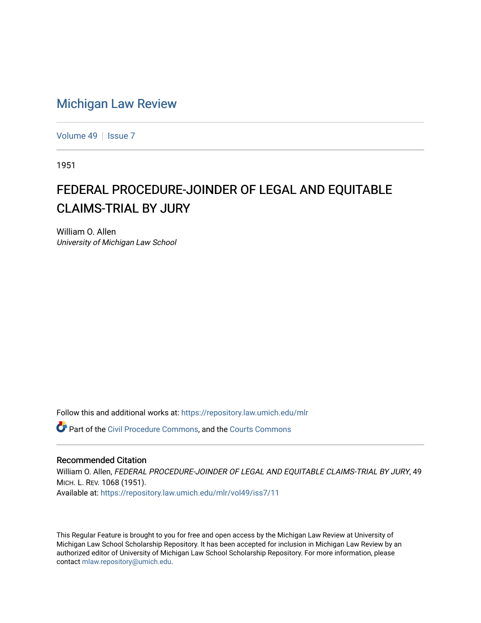## [Michigan Law Review](https://repository.law.umich.edu/mlr)

[Volume 49](https://repository.law.umich.edu/mlr/vol49) | [Issue 7](https://repository.law.umich.edu/mlr/vol49/iss7)

1951

## FEDERAL PROCEDURE-JOINDER OF LEGAL AND EQUITABLE CLAIMS-TRIAL BY JURY

William O. Allen University of Michigan Law School

Follow this and additional works at: [https://repository.law.umich.edu/mlr](https://repository.law.umich.edu/mlr?utm_source=repository.law.umich.edu%2Fmlr%2Fvol49%2Fiss7%2F11&utm_medium=PDF&utm_campaign=PDFCoverPages) 

Part of the [Civil Procedure Commons,](https://network.bepress.com/hgg/discipline/584?utm_source=repository.law.umich.edu%2Fmlr%2Fvol49%2Fiss7%2F11&utm_medium=PDF&utm_campaign=PDFCoverPages) and the [Courts Commons](https://network.bepress.com/hgg/discipline/839?utm_source=repository.law.umich.edu%2Fmlr%2Fvol49%2Fiss7%2F11&utm_medium=PDF&utm_campaign=PDFCoverPages) 

## Recommended Citation

William O. Allen, FEDERAL PROCEDURE-JOINDER OF LEGAL AND EQUITABLE CLAIMS-TRIAL BY JURY, 49 MICH. L. REV. 1068 (1951). Available at: [https://repository.law.umich.edu/mlr/vol49/iss7/11](https://repository.law.umich.edu/mlr/vol49/iss7/11?utm_source=repository.law.umich.edu%2Fmlr%2Fvol49%2Fiss7%2F11&utm_medium=PDF&utm_campaign=PDFCoverPages) 

This Regular Feature is brought to you for free and open access by the Michigan Law Review at University of Michigan Law School Scholarship Repository. It has been accepted for inclusion in Michigan Law Review by an authorized editor of University of Michigan Law School Scholarship Repository. For more information, please contact [mlaw.repository@umich.edu](mailto:mlaw.repository@umich.edu).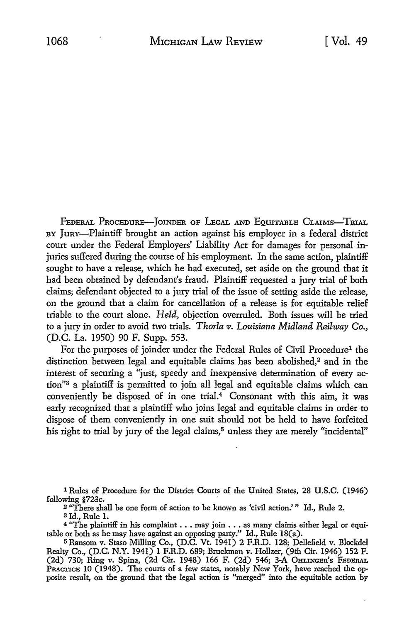FEDERAL PROCEDURE-JOINDER OF LEGAL AND EQUITABLE CLAIMS-TRIAL BY JURY-Plaintiff brought an action against his employer in a federal district court under the Federal Employers' Liability Act for damages for personal injuries suffered during the course of his employment. In the same action, plaintiff sought to have a release, which he had executed, set aside on the ground that it had been obtained by defendant's fraud. Plaintiff requested a jury trial of both claims; defendant objected to a jury trial of the issue of setting aside the release, on the ground that a claim for cancellation of a release is for equitable relief triable to the court alone. *Held,* objection overruled. Both issues will be tried to a jury in order *to* avoid two trials. *Thorla v. Louisiana Midland Railway Co.,*  (D.C. La. 1950) 90 F. Supp. 553.

For the purposes of joinder under the Federal Rules of Civil Procedure<sup>1</sup> the distinction between legal and equitable claims has been abolished,<sup>2</sup> and in the interest of securing a "just, speedy and inexpensive determination of every action"3 a plaintiff is permitted to join all legal and equitable claims which can conveniently be disposed of in one trial.4 Consonant with this aim, it was early recognized that a plaintiff who joins legal and equitable claims in order to dispose of them conveniently in one suit should not be held to have forfeited his right to trial by jury of the legal claims,<sup>5</sup> unless they are merely "incidental"

1 Rules of Procedure for the District Courts of the United States, 28 U.S.C. (1946) following §723c.

<sup>2</sup> "There shall be one form of action to be known as 'civil action.' " Id., Rule 2.

a Id., Rule I.

4 "The plaintiff in his complaint ... may join .•• as many claims either legal or equitable or both as he may have against an opposing party.'' Id., Rule 18(a).

5 Ransom v. Staso Milling Co., (D.C. Vt. 1941) 2 F.R.D. 128; Dellefield v. Blockdel Realty Co., (D.C. N.Y. 1941) l F.R.D. 689; Bruckman v. Hollzer, (9th Cir. 1946) 152 F. (2d) 730; Ring v. Spina, (2d Cir. 1948) 166 F. (2d) 546; 3-A OHLINGER's FEDERAL PRACTICE IO (1948). The courts of a few states, notably New York, have reached the opposite result, on the ground that the legal action is "merged" into the equitable action by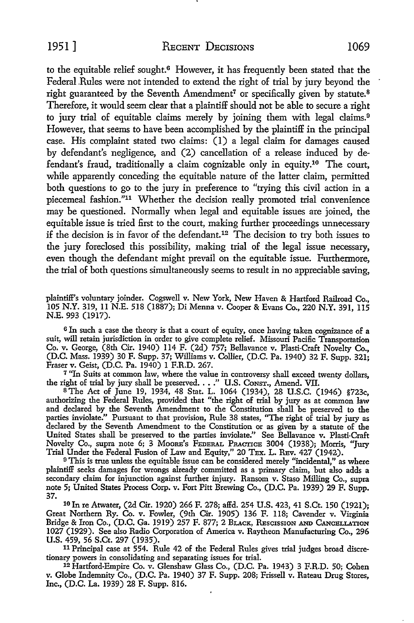to the equitable relief sought.<sup>6</sup> However, it has frequently been stated that the Federal .Rules were not intended to extend the right of trial by jury beyond the right guaranteed by the Seventh Amendment<sup>7</sup> or specifically given by statute.<sup>8</sup> Therefore, it would seem clear that a plaintiff should not be able to secure a right to jury trial of equitable claims merely by joining them with legal claims.<sup>9</sup> However, that seems to have been accomplished by the plaintiff in the principal case. His complaint stated two claims: (1) a legal claim for damages caused by defendant's negligence, and (2) cancellation of a release induced by defendant's fraud, traditionally a claim cognizable only in equity.10 The court, while apparently conceding the equitable nature of the latter claim, permitted both questions to go to the jury in preference to "trying this civil action in a piecemeal fashion."<sup>11</sup> Whether the decision really promoted trial convenience may be questioned. Normally when legal and equitable issues are joined, the equitable issue is tried first to the court, making further proceedings unnecessary if the decision is in favor of the defendant.12 The decision to try both issues to the jury foreclosed this possibility, making trial of the legal issue necessary, even though the defendant might prevail on the equitable issue. Furthermore, the trial of both questions simultaneously seems to result in no appreciable saving,

plaintiff's voluntary joinder. Cogswell v. New York, New Haven & Hartford Railroad Co., 105 N.Y. 319, 11 N.E. 518 (1887); Di Menna v. Cooper & Evans Co., 220 N.Y. 391, 115 N.E. 993 (1917).

<sup>6</sup> In such a case the theory is that a court of equity, once having taken cognizance of a suit, will retain jurisdiction in order to give complete relief. Missouri Pacific Transportation Co. v. George, (8th Cir. 1940) 114 F. (2d) 757; Bellavance v. Plasti·Craft Novelty Co., (D.C. Mass. 1939) 30 F. Supp. 37; Williams v. Collier, (D.C. Pa. 1940) 32 F. Supp. 321; Fraser v. Geist, (D.C. Pa. 1940) 1 F.R.D. 267.

<sup>7</sup> "In Suits at common law, where the value in controversy shall exceed twenty dollars, the right of trial by jury shall be preserved. . . ." U.S. Consr., Amend. VII.<br><sup>8</sup> The Act of June 19, 1934, 48 Stat. L. 1064 (1934),

authorizing the Federal Rules, provided that "the right of trial by jury as at common law and declared by the Seventh Amendment to the Constitution shall be preserved to the parties inviolate." Pursuant to that provision, Rule 38 states, "The right of trial by jury as declared by the Seventh Amendment to the Constitution or as given by a statute of the United States shall be preserved to the parties inviolate." See Bellavance v. Plasti-Craft Novelty Co., supra note 6; 3 MooRE's FEDERAL PRACTICE 3004 (1938); Morris, "Jury Trial Under the Federal Fusion of Law and Equity," 20 TEX. L. REv. 427 (1942).

 $^9$  This is true unless the equitable issue can be considered merely "incidental," as where plaintiff seeks damages for wrongs already committed as a primary claim, but also adds a secondary claim for injunction against further injury. Ransom v. Staso Milling Co., supra note 5; United States Process Corp. v. Fort Pitt Brewing Co., (D.C. Pa. 1939) 29 F. Supp. 37.

<sup>10</sup>In re Atwater, (2d Cir. 1920) 266 F. 278; affd. 254 U.S. 423, 41 S.Ct. 150 (1921); Great Northern Ry. Co. v. Fowler, (9th Cir. 1905) 136 F. 118; Cavender v. Virginia Bridge & Iron Co., (D.C. Ga. 1919) 257 F. 877; 2 BLACK, REscISSION AND CANCELLATION 1027 (1929). See also Radio Corporation of America v. Raytheon Manufacturing Co., 296 U.S. 459, 56 S.Ct. 297 (1935).

11 Principal case at 554. Rule 42 of the Federal Rules gives trial judges broad discretionary powers in consolidating and separating issues for trial.

12 Hartford-Empire Co. v. Glenshaw Glass Co., (D.C. Pa. 1943) 3 F.R.D. 50; Cohen v. Globe Indemnity Co., (D.C. Pa. 1940) 37 F. Supp. 208; Frissell v. Rateau Drug Stores, Inc., (D.C. La. 1939) 28 F. Supp. 816.